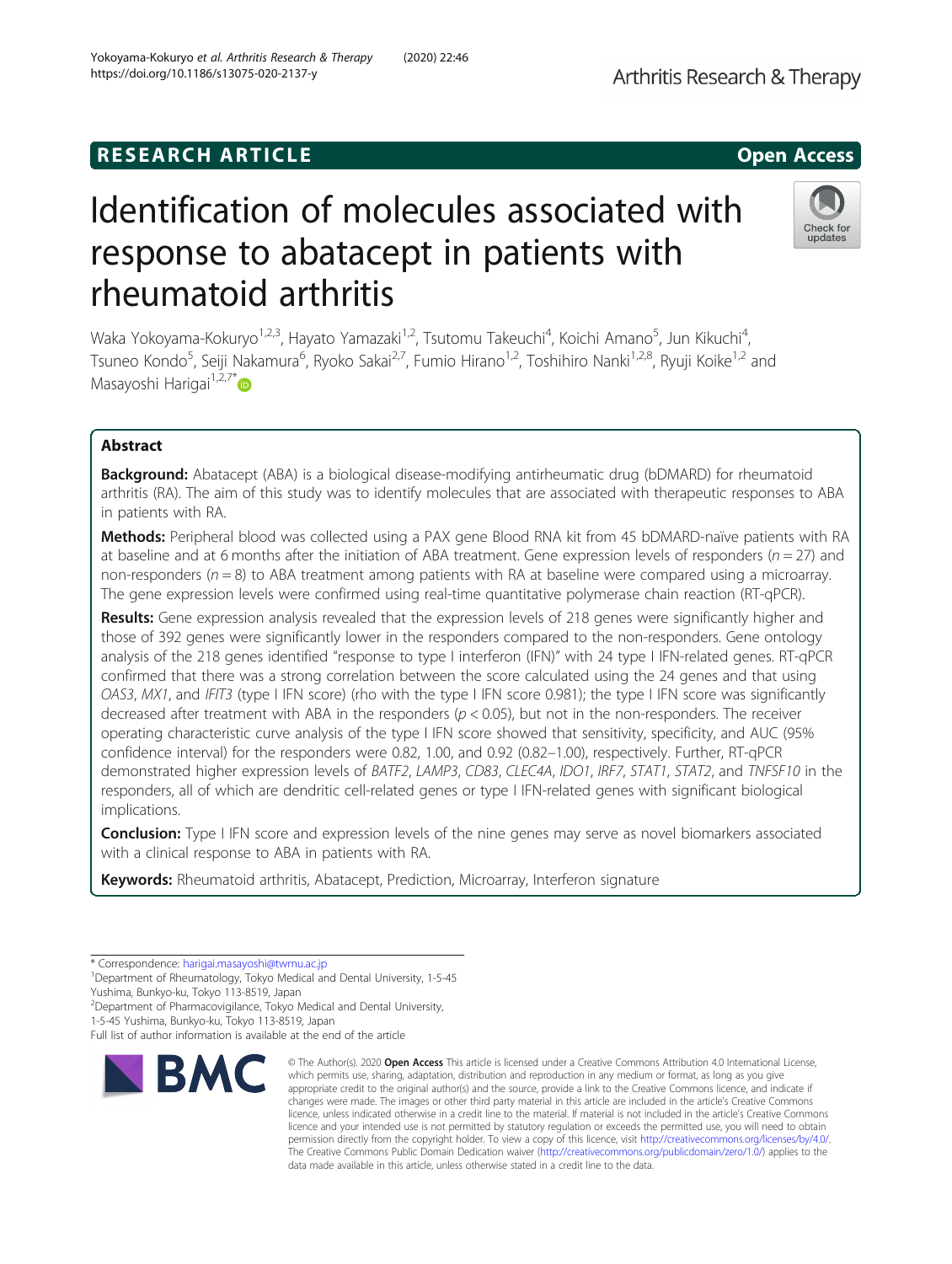## **RESEARCH ARTICLE Example 2014 12:30 The SEAR CH ACCESS**

# Identification of molecules associated with response to abatacept in patients with rheumatoid arthritis

Waka Yokoyama-Kokuryo<sup>1,2,3</sup>, Hayato Yamazaki<sup>1,2</sup>, Tsutomu Takeuchi<sup>4</sup>, Koichi Amano<sup>5</sup>, Jun Kikuchi<sup>4</sup> , Tsuneo Kondo<sup>5</sup>, Seiji Nakamura<sup>6</sup>, Ryoko Sakai<sup>2,7</sup>, Fumio Hirano<sup>1,2</sup>, Toshihiro Nanki<sup>1,2,8</sup>, Ryuji Koike<sup>1,2</sup> and Masayoshi Harigai $1,2,7^*$ 

## Abstract

**Background:** Abatacept (ABA) is a biological disease-modifying antirheumatic drug (bDMARD) for rheumatoid arthritis (RA). The aim of this study was to identify molecules that are associated with therapeutic responses to ABA in patients with RA.

Methods: Peripheral blood was collected using a PAX gene Blood RNA kit from 45 bDMARD-naïve patients with RA at baseline and at 6 months after the initiation of ABA treatment. Gene expression levels of responders ( $n = 27$ ) and non-responders ( $n = 8$ ) to ABA treatment among patients with RA at baseline were compared using a microarray. The gene expression levels were confirmed using real-time quantitative polymerase chain reaction (RT-qPCR).

Results: Gene expression analysis revealed that the expression levels of 218 genes were significantly higher and those of 392 genes were significantly lower in the responders compared to the non-responders. Gene ontology analysis of the 218 genes identified "response to type I interferon (IFN)" with 24 type I IFN-related genes. RT-qPCR confirmed that there was a strong correlation between the score calculated using the 24 genes and that using OAS3, MX1, and IFIT3 (type I IFN score) (rho with the type I IFN score 0.981); the type I IFN score was significantly decreased after treatment with ABA in the responders ( $p < 0.05$ ), but not in the non-responders. The receiver operating characteristic curve analysis of the type I IFN score showed that sensitivity, specificity, and AUC (95% confidence interval) for the responders were 0.82, 1.00, and 0.92 (0.82–1.00), respectively. Further, RT-qPCR demonstrated higher expression levels of BATF2, LAMP3, CD83, CLEC4A, IDO1, IRF7, STAT1, STAT2, and TNFSF10 in the responders, all of which are dendritic cell-related genes or type I IFN-related genes with significant biological implications.

**Conclusion:** Type I IFN score and expression levels of the nine genes may serve as novel biomarkers associated with a clinical response to ABA in patients with RA.

Keywords: Rheumatoid arthritis, Abatacept, Prediction, Microarray, Interferon signature

**RM** 

Yushima, Bunkyo-ku, Tokyo 113-8519, Japan 2 Department of Pharmacovigilance, Tokyo Medical and Dental University,

appropriate credit to the original author(s) and the source, provide a link to the Creative Commons licence, and indicate if changes were made. The images or other third party material in this article are included in the article's Creative Commons licence, unless indicated otherwise in a credit line to the material. If material is not included in the article's Creative Commons licence and your intended use is not permitted by statutory regulation or exceeds the permitted use, you will need to obtain permission directly from the copyright holder. To view a copy of this licence, visit [http://creativecommons.org/licenses/by/4.0/.](http://creativecommons.org/licenses/by/4.0/) The Creative Commons Public Domain Dedication waiver [\(http://creativecommons.org/publicdomain/zero/1.0/](http://creativecommons.org/publicdomain/zero/1.0/)) applies to the data made available in this article, unless otherwise stated in a credit line to the data.

© The Author(s), 2020 **Open Access** This article is licensed under a Creative Commons Attribution 4.0 International License, which permits use, sharing, adaptation, distribution and reproduction in any medium or format, as long as you give





<sup>\*</sup> Correspondence: [harigai.masayoshi@twmu.ac.jp](mailto:harigai.masayoshi@twmu.ac.jp) <sup>1</sup>

<sup>&</sup>lt;sup>1</sup>Department of Rheumatology, Tokyo Medical and Dental University, 1-5-45

<sup>1-5-45</sup> Yushima, Bunkyo-ku, Tokyo 113-8519, Japan

Full list of author information is available at the end of the article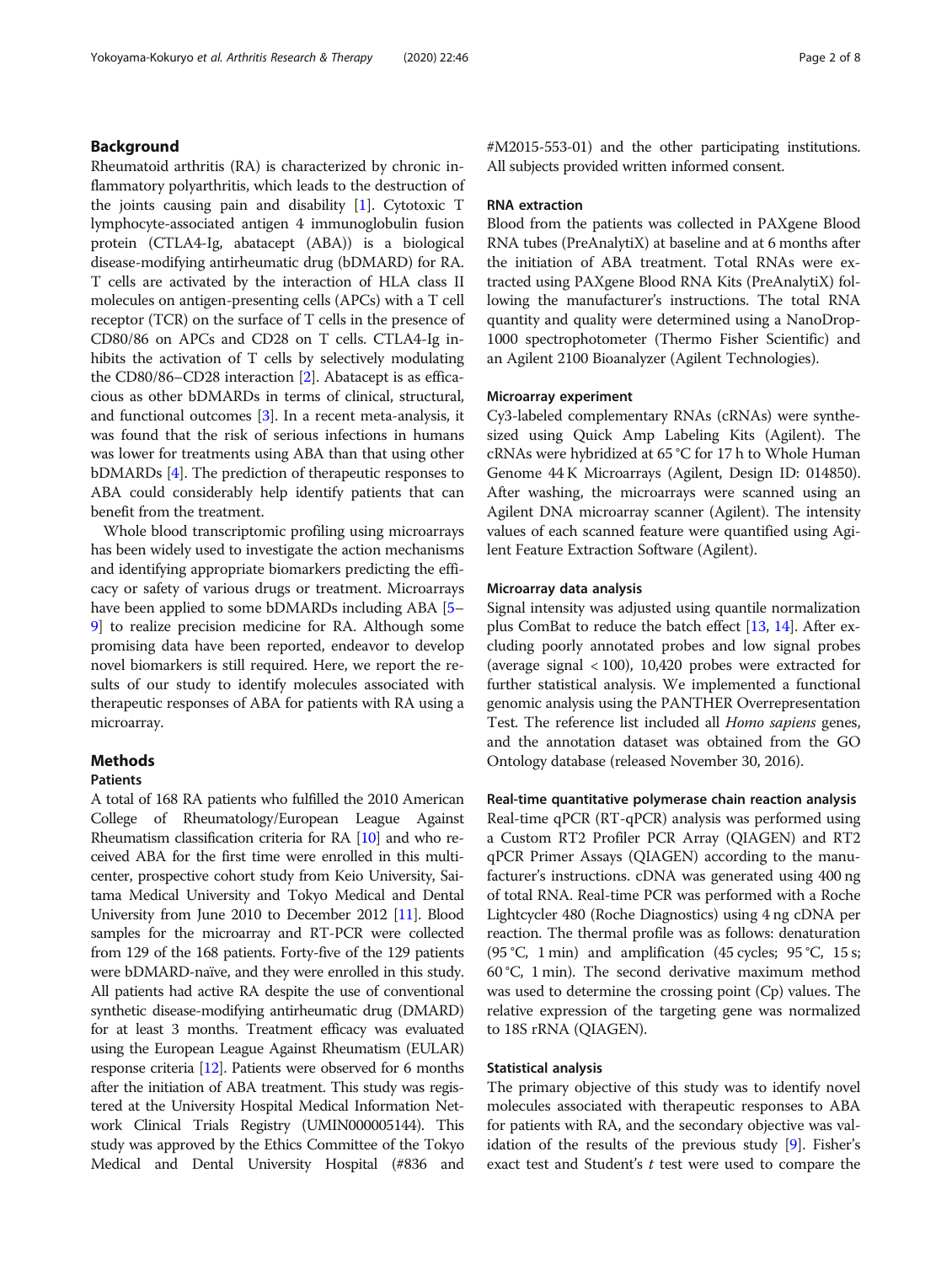Rheumatoid arthritis (RA) is characterized by chronic inflammatory polyarthritis, which leads to the destruction of the joints causing pain and disability  $[1]$  $[1]$  $[1]$ . Cytotoxic T lymphocyte-associated antigen 4 immunoglobulin fusion protein (CTLA4-Ig, abatacept (ABA)) is a biological disease-modifying antirheumatic drug (bDMARD) for RA. T cells are activated by the interaction of HLA class II molecules on antigen-presenting cells (APCs) with a T cell receptor (TCR) on the surface of T cells in the presence of CD80/86 on APCs and CD28 on T cells. CTLA4-Ig inhibits the activation of T cells by selectively modulating the CD80/86–CD28 interaction [[2\]](#page-6-0). Abatacept is as efficacious as other bDMARDs in terms of clinical, structural, and functional outcomes [\[3\]](#page-6-0). In a recent meta-analysis, it was found that the risk of serious infections in humans was lower for treatments using ABA than that using other bDMARDs [\[4](#page-6-0)]. The prediction of therapeutic responses to ABA could considerably help identify patients that can benefit from the treatment.

Whole blood transcriptomic profiling using microarrays has been widely used to investigate the action mechanisms and identifying appropriate biomarkers predicting the efficacy or safety of various drugs or treatment. Microarrays have been applied to some bDMARDs including ABA [[5](#page-6-0)– [9\]](#page-6-0) to realize precision medicine for RA. Although some promising data have been reported, endeavor to develop novel biomarkers is still required. Here, we report the results of our study to identify molecules associated with therapeutic responses of ABA for patients with RA using a microarray.

## **Methods**

## **Patients**

A total of 168 RA patients who fulfilled the 2010 American College of Rheumatology/European League Against Rheumatism classification criteria for RA [\[10](#page-6-0)] and who received ABA for the first time were enrolled in this multicenter, prospective cohort study from Keio University, Saitama Medical University and Tokyo Medical and Dental University from June 2010 to December 2012 [\[11\]](#page-6-0). Blood samples for the microarray and RT-PCR were collected from 129 of the 168 patients. Forty-five of the 129 patients were bDMARD-naïve, and they were enrolled in this study. All patients had active RA despite the use of conventional synthetic disease-modifying antirheumatic drug (DMARD) for at least 3 months. Treatment efficacy was evaluated using the European League Against Rheumatism (EULAR) response criteria [[12\]](#page-6-0). Patients were observed for 6 months after the initiation of ABA treatment. This study was registered at the University Hospital Medical Information Network Clinical Trials Registry (UMIN000005144). This study was approved by the Ethics Committee of the Tokyo Medical and Dental University Hospital (#836 and #M2015-553-01) and the other participating institutions. All subjects provided written informed consent.

#### RNA extraction

Blood from the patients was collected in PAXgene Blood RNA tubes (PreAnalytiX) at baseline and at 6 months after the initiation of ABA treatment. Total RNAs were extracted using PAXgene Blood RNA Kits (PreAnalytiX) following the manufacturer's instructions. The total RNA quantity and quality were determined using a NanoDrop-1000 spectrophotometer (Thermo Fisher Scientific) and an Agilent 2100 Bioanalyzer (Agilent Technologies).

## Microarray experiment

Cy3-labeled complementary RNAs (cRNAs) were synthesized using Quick Amp Labeling Kits (Agilent). The cRNAs were hybridized at 65 °C for 17 h to Whole Human Genome 44 K Microarrays (Agilent, Design ID: 014850). After washing, the microarrays were scanned using an Agilent DNA microarray scanner (Agilent). The intensity values of each scanned feature were quantified using Agilent Feature Extraction Software (Agilent).

#### Microarray data analysis

Signal intensity was adjusted using quantile normalization plus ComBat to reduce the batch effect [[13](#page-6-0), [14](#page-6-0)]. After excluding poorly annotated probes and low signal probes (average signal  $\langle 100 \rangle$ , 10,420 probes were extracted for further statistical analysis. We implemented a functional genomic analysis using the PANTHER Overrepresentation Test. The reference list included all Homo sapiens genes, and the annotation dataset was obtained from the GO Ontology database (released November 30, 2016).

Real-time quantitative polymerase chain reaction analysis Real-time qPCR (RT-qPCR) analysis was performed using a Custom RT2 Profiler PCR Array (QIAGEN) and RT2 qPCR Primer Assays (QIAGEN) according to the manufacturer's instructions. cDNA was generated using 400 ng of total RNA. Real-time PCR was performed with a Roche Lightcycler 480 (Roche Diagnostics) using 4 ng cDNA per reaction. The thermal profile was as follows: denaturation (95 °C, 1 min) and amplification (45 cycles; 95 °C, 15 s; 60 °C, 1 min). The second derivative maximum method was used to determine the crossing point (Cp) values. The relative expression of the targeting gene was normalized to 18S rRNA (QIAGEN).

## Statistical analysis

The primary objective of this study was to identify novel molecules associated with therapeutic responses to ABA for patients with RA, and the secondary objective was validation of the results of the previous study [\[9\]](#page-6-0). Fisher's exact test and Student's t test were used to compare the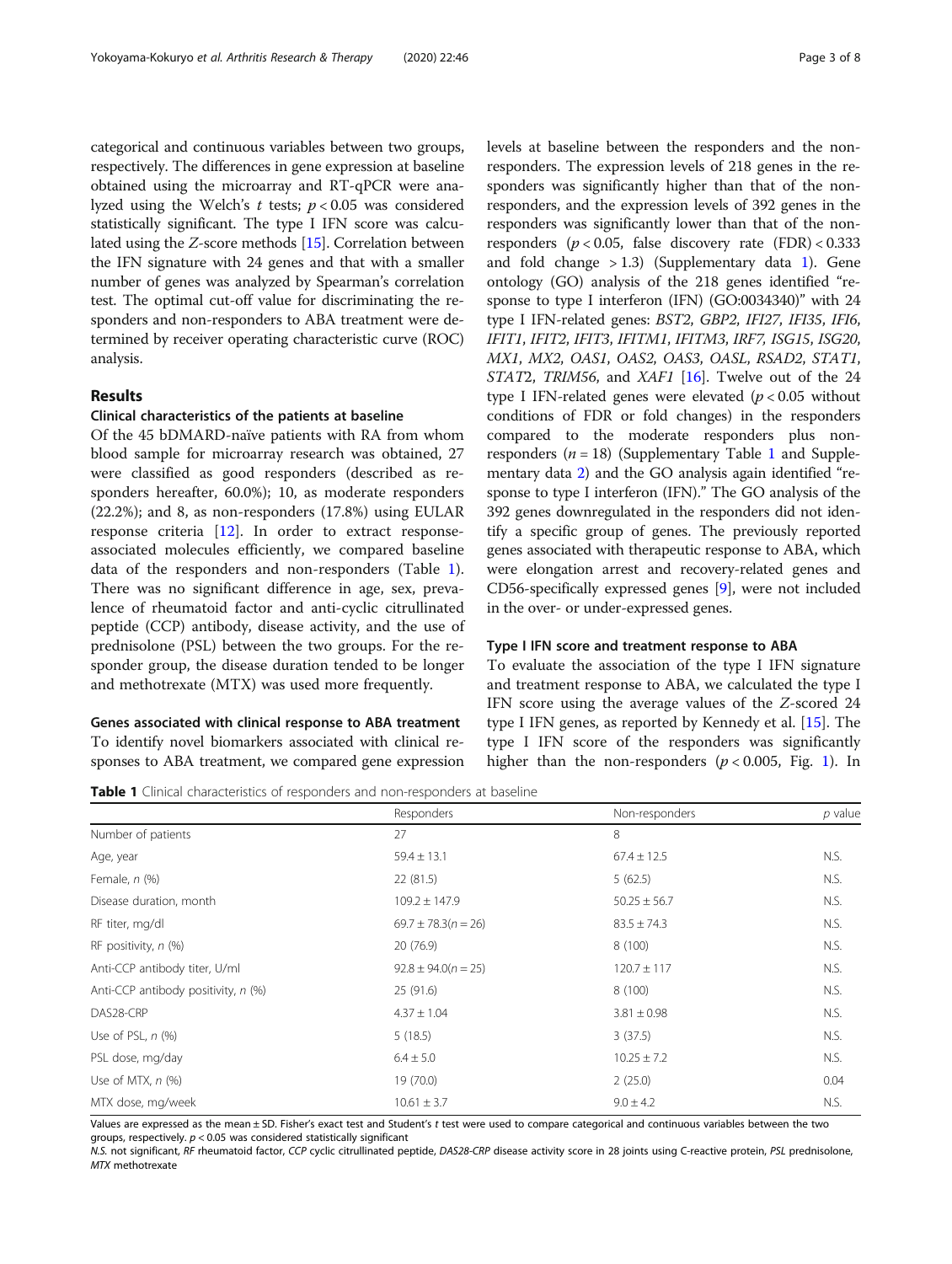categorical and continuous variables between two groups, respectively. The differences in gene expression at baseline obtained using the microarray and RT-qPCR were analyzed using the Welch's  $t$  tests;  $p < 0.05$  was considered statistically significant. The type I IFN score was calculated using the Z-score methods [\[15](#page-6-0)]. Correlation between the IFN signature with 24 genes and that with a smaller number of genes was analyzed by Spearman's correlation test. The optimal cut-off value for discriminating the responders and non-responders to ABA treatment were determined by receiver operating characteristic curve (ROC) analysis.

## Results

#### Clinical characteristics of the patients at baseline

Of the 45 bDMARD-naïve patients with RA from whom blood sample for microarray research was obtained, 27 were classified as good responders (described as responders hereafter, 60.0%); 10, as moderate responders (22.2%); and 8, as non-responders (17.8%) using EULAR response criteria [\[12](#page-6-0)]. In order to extract responseassociated molecules efficiently, we compared baseline data of the responders and non-responders (Table 1). There was no significant difference in age, sex, prevalence of rheumatoid factor and anti-cyclic citrullinated peptide (CCP) antibody, disease activity, and the use of prednisolone (PSL) between the two groups. For the responder group, the disease duration tended to be longer and methotrexate (MTX) was used more frequently.

## Genes associated with clinical response to ABA treatment To identify novel biomarkers associated with clinical responses to ABA treatment, we compared gene expression

levels at baseline between the responders and the nonresponders. The expression levels of 218 genes in the responders was significantly higher than that of the nonresponders, and the expression levels of 392 genes in the responders was significantly lower than that of the nonresponders ( $p < 0.05$ , false discovery rate (FDR) < 0.333 and fold change  $> 1.3$  $> 1.3$  $> 1.3$ ) (Supplementary data 1). Gene ontology (GO) analysis of the 218 genes identified "response to type I interferon (IFN) (GO:0034340)" with 24 type I IFN-related genes: BST2, GBP2, IFI27, IFI35, IFI6, IFIT1, IFIT2, IFIT3, IFITM1, IFITM3, IRF7, ISG15, ISG20, MX1, MX2, OAS1, OAS2, OAS3, OASL, RSAD2, STAT1, STAT2, TRIM56, and XAF1 [\[16\]](#page-6-0). Twelve out of the 24 type I IFN-related genes were elevated ( $p < 0.05$  without conditions of FDR or fold changes) in the responders compared to the moderate responders plus nonresponders  $(n = 18)$  $(n = 18)$  $(n = 18)$  (Supplementary Table 1 and Supplementary data [2](#page-5-0)) and the GO analysis again identified "response to type I interferon (IFN)." The GO analysis of the 392 genes downregulated in the responders did not identify a specific group of genes. The previously reported genes associated with therapeutic response to ABA, which were elongation arrest and recovery-related genes and CD56-specifically expressed genes [\[9](#page-6-0)], were not included in the over- or under-expressed genes.

#### Type I IFN score and treatment response to ABA

To evaluate the association of the type I IFN signature and treatment response to ABA, we calculated the type I IFN score using the average values of the Z-scored 24 type I IFN genes, as reported by Kennedy et al. [\[15\]](#page-6-0). The type I IFN score of the responders was significantly higher than the non-responders  $(p < 0.005,$  Fig. [1](#page-3-0)). In

|  |  |  | <b>Table 1</b> Clinical characteristics of responders and non-responders at baseline |  |
|--|--|--|--------------------------------------------------------------------------------------|--|
|--|--|--|--------------------------------------------------------------------------------------|--|

|                                     | Responders              | Non-responders   | $p$ value |
|-------------------------------------|-------------------------|------------------|-----------|
| Number of patients                  | 27                      | 8                |           |
| Age, year                           | $59.4 \pm 13.1$         | $67.4 \pm 12.5$  | N.S.      |
| Female, n (%)                       | 22(81.5)                | 5(62.5)          | N.S.      |
| Disease duration, month             | $109.2 \pm 147.9$       | $50.25 \pm 56.7$ | N.S.      |
| RF titer, mg/dl                     | $69.7 \pm 78.3(n = 26)$ | $83.5 \pm 74.3$  | N.S.      |
| RF positivity, $n$ (%)              | 20 (76.9)               | 8(100)           | N.S.      |
| Anti-CCP antibody titer, U/ml       | $92.8 \pm 94.0(n = 25)$ | $120.7 \pm 117$  | N.S.      |
| Anti-CCP antibody positivity, n (%) | 25(91.6)                | 8(100)           | N.S.      |
| DAS28-CRP                           | $4.37 \pm 1.04$         | $3.81 \pm 0.98$  | N.S.      |
| Use of PSL, $n$ $(\%)$              | 5(18.5)                 | 3(37.5)          | N.S.      |
| PSL dose, mg/day                    | $6.4 \pm 5.0$           | $10.25 \pm 7.2$  | N.S.      |
| Use of MTX, $n$ $(\%)$              | 19 (70.0)               | 2(25.0)          | 0.04      |
| MTX dose, mg/week                   | $10.61 \pm 3.7$         | $9.0 \pm 4.2$    | N.S.      |

Values are expressed as the mean ± SD. Fisher's exact test and Student's t test were used to compare categorical and continuous variables between the two groups, respectively.  $p < 0.05$  was considered statistically significant

N.S. not significant, RF rheumatoid factor, CCP cyclic citrullinated peptide, DAS28-CRP disease activity score in 28 joints using C-reactive protein, PSL prednisolone, MTX methotrexate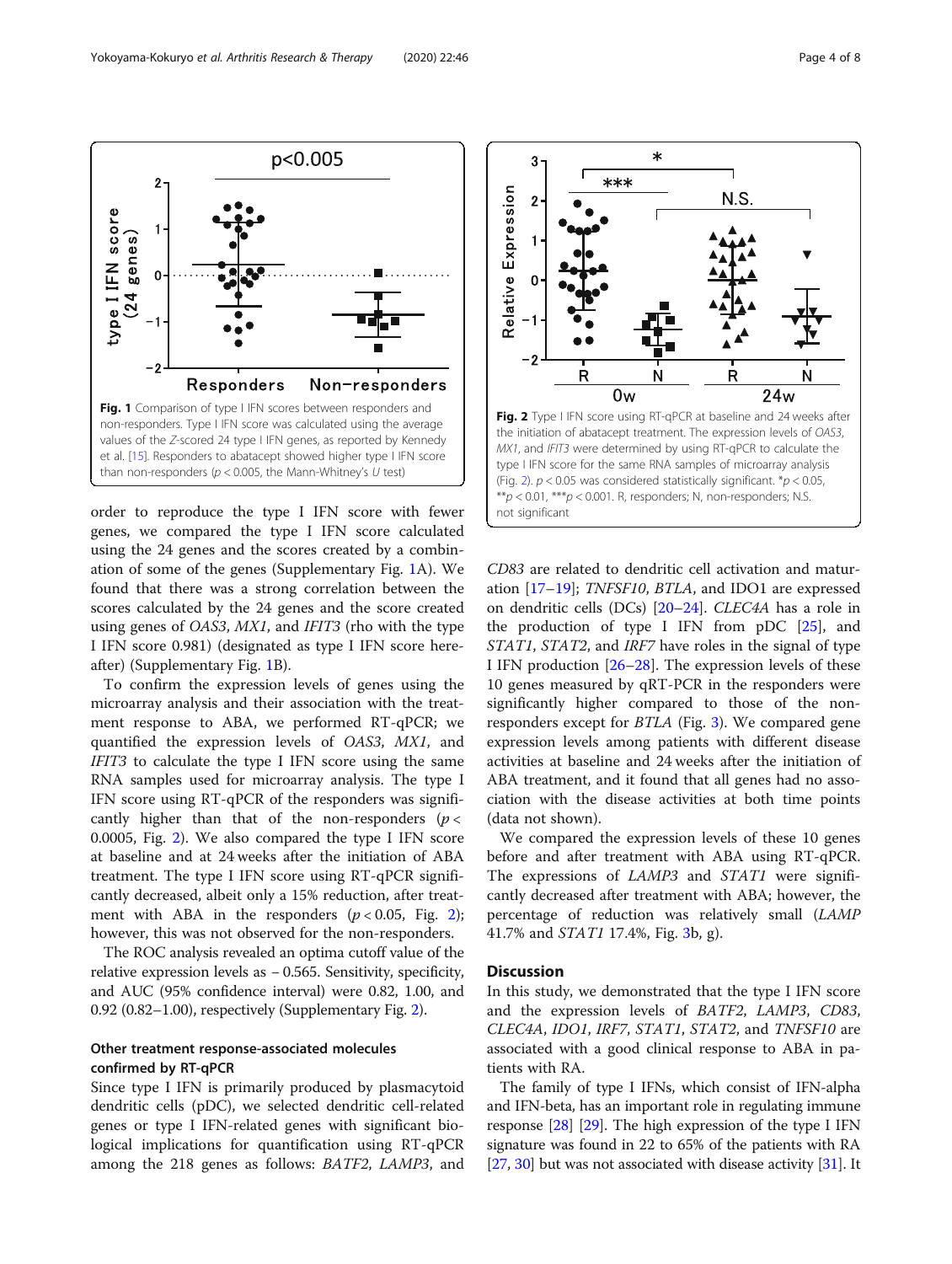$\overline{2}$ 

ĵ

 $\Omega$ 

 $-2$ 

<span id="page-3-0"></span>type I IFN score

 $(24$  genes)

p<0.005

Non-responders



Fig. 1 Comparison of type I IFN scores between responders and non-responders. Type I IFN score was calculated using the average values of the Z-scored 24 type I IFN genes, as reported by Kennedy et al. [\[15](#page-6-0)]. Responders to abatacept showed higher type I IFN score than non-responders ( $p < 0.005$ , the Mann-Whitney's U test)

**Responders** 

To confirm the expression levels of genes using the microarray analysis and their association with the treatment response to ABA, we performed RT-qPCR; we quantified the expression levels of OAS3, MX1, and IFIT3 to calculate the type I IFN score using the same RNA samples used for microarray analysis. The type I IFN score using RT-qPCR of the responders was significantly higher than that of the non-responders  $(p <$ 0.0005, Fig. 2). We also compared the type I IFN score at baseline and at 24 weeks after the initiation of ABA treatment. The type I IFN score using RT-qPCR significantly decreased, albeit only a 15% reduction, after treatment with ABA in the responders  $(p < 0.05,$  Fig. 2); however, this was not observed for the non-responders.

The ROC analysis revealed an optima cutoff value of the relative expression levels as − 0.565. Sensitivity, specificity, and AUC (95% confidence interval) were 0.82, 1.00, and 0.92 (0.82–1.00), respectively (Supplementary Fig. [2](#page-5-0)).

## Other treatment response-associated molecules confirmed by RT-qPCR

Since type I IFN is primarily produced by plasmacytoid dendritic cells (pDC), we selected dendritic cell-related genes or type I IFN-related genes with significant biological implications for quantification using RT-qPCR among the 218 genes as follows: BATF2, LAMP3, and



CD83 are related to dendritic cell activation and maturation [[17](#page-6-0)–[19](#page-6-0)]; TNFSF10, BTLA, and IDO1 are expressed on dendritic cells (DCs) [[20](#page-6-0)–[24](#page-6-0)]. CLEC4A has a role in the production of type I IFN from pDC [[25\]](#page-6-0), and STAT1, STAT2, and IRF7 have roles in the signal of type I IFN production [[26](#page-7-0)–[28](#page-7-0)]. The expression levels of these 10 genes measured by qRT-PCR in the responders were significantly higher compared to those of the nonresponders except for BTLA (Fig. [3\)](#page-4-0). We compared gene expression levels among patients with different disease activities at baseline and 24 weeks after the initiation of ABA treatment, and it found that all genes had no association with the disease activities at both time points (data not shown).

We compared the expression levels of these 10 genes before and after treatment with ABA using RT-qPCR. The expressions of *LAMP3* and *STAT1* were significantly decreased after treatment with ABA; however, the percentage of reduction was relatively small (LAMP 41.7% and STAT1 17.4%, Fig. [3](#page-4-0)b, g).

#### **Discussion**

In this study, we demonstrated that the type I IFN score and the expression levels of BATF2, LAMP3, CD83, CLEC4A, IDO1, IRF7, STAT1, STAT2, and TNFSF10 are associated with a good clinical response to ABA in patients with RA.

The family of type I IFNs, which consist of IFN-alpha and IFN-beta, has an important role in regulating immune response [\[28\]](#page-7-0) [\[29\]](#page-7-0). The high expression of the type I IFN signature was found in 22 to 65% of the patients with RA [[27](#page-7-0), [30\]](#page-7-0) but was not associated with disease activity [[31](#page-7-0)]. It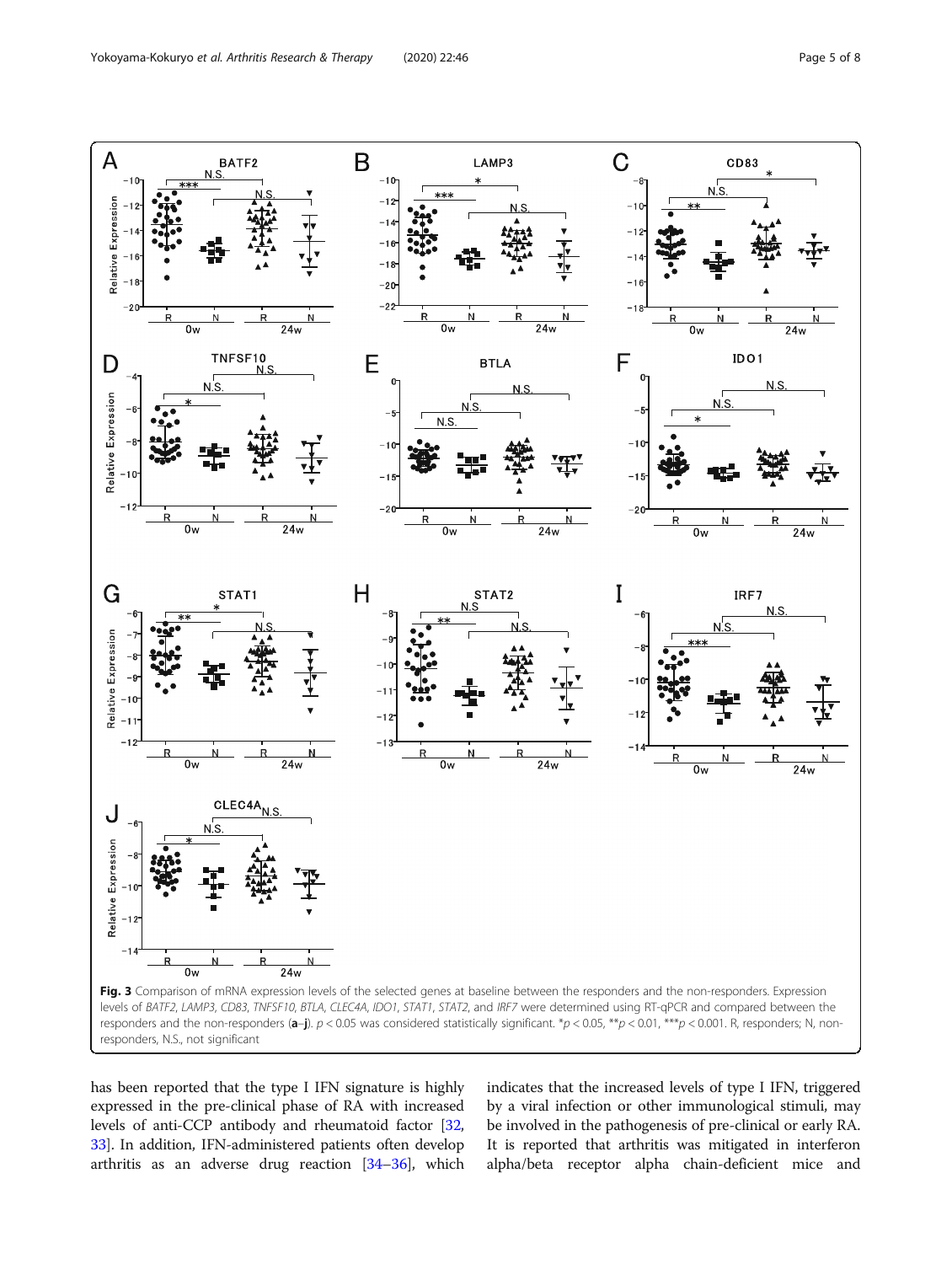<span id="page-4-0"></span>

has been reported that the type I IFN signature is highly expressed in the pre-clinical phase of RA with increased levels of anti-CCP antibody and rheumatoid factor [[32](#page-7-0), [33](#page-7-0)]. In addition, IFN-administered patients often develop arthritis as an adverse drug reaction [[34](#page-7-0)–[36\]](#page-7-0), which indicates that the increased levels of type I IFN, triggered by a viral infection or other immunological stimuli, may be involved in the pathogenesis of pre-clinical or early RA. It is reported that arthritis was mitigated in interferon alpha/beta receptor alpha chain-deficient mice and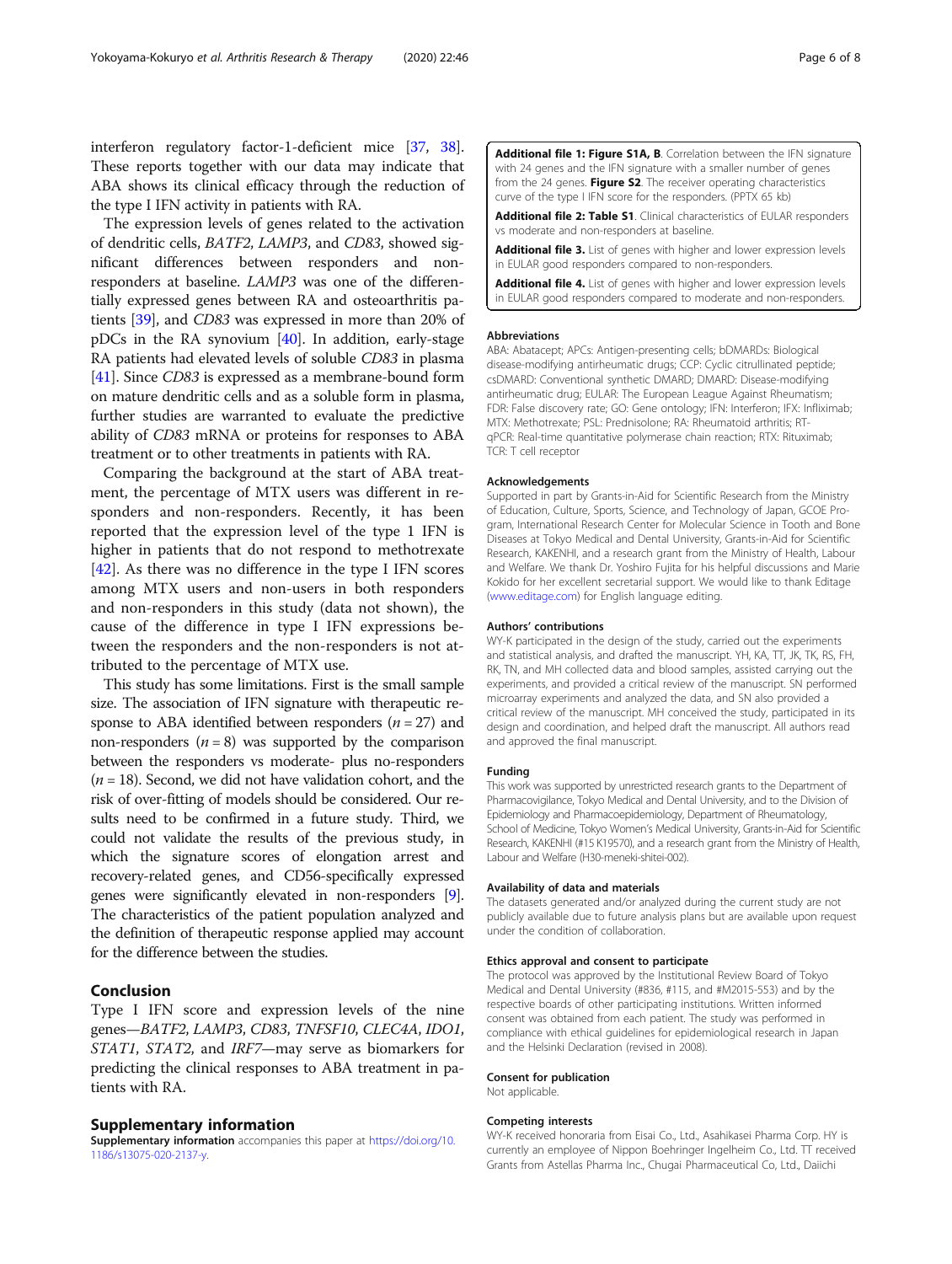<span id="page-5-0"></span>interferon regulatory factor-1-deficient mice [[37](#page-7-0), [38](#page-7-0)]. These reports together with our data may indicate that ABA shows its clinical efficacy through the reduction of the type I IFN activity in patients with RA.

The expression levels of genes related to the activation of dendritic cells, BATF2, LAMP3, and CD83, showed significant differences between responders and nonresponders at baseline. LAMP3 was one of the differentially expressed genes between RA and osteoarthritis patients [[39\]](#page-7-0), and CD83 was expressed in more than 20% of pDCs in the RA synovium [\[40\]](#page-7-0). In addition, early-stage RA patients had elevated levels of soluble CD83 in plasma [[41](#page-7-0)]. Since CD83 is expressed as a membrane-bound form on mature dendritic cells and as a soluble form in plasma, further studies are warranted to evaluate the predictive ability of CD83 mRNA or proteins for responses to ABA treatment or to other treatments in patients with RA.

Comparing the background at the start of ABA treatment, the percentage of MTX users was different in responders and non-responders. Recently, it has been reported that the expression level of the type 1 IFN is higher in patients that do not respond to methotrexate [[42\]](#page-7-0). As there was no difference in the type I IFN scores among MTX users and non-users in both responders and non-responders in this study (data not shown), the cause of the difference in type I IFN expressions between the responders and the non-responders is not attributed to the percentage of MTX use.

This study has some limitations. First is the small sample size. The association of IFN signature with therapeutic response to ABA identified between responders ( $n = 27$ ) and non-responders  $(n = 8)$  was supported by the comparison between the responders vs moderate- plus no-responders  $(n = 18)$ . Second, we did not have validation cohort, and the risk of over-fitting of models should be considered. Our results need to be confirmed in a future study. Third, we could not validate the results of the previous study, in which the signature scores of elongation arrest and recovery-related genes, and CD56-specifically expressed genes were significantly elevated in non-responders [[9](#page-6-0)]. The characteristics of the patient population analyzed and the definition of therapeutic response applied may account for the difference between the studies.

## Conclusion

Type I IFN score and expression levels of the nine genes—BATF2, LAMP3, CD83, TNFSF10, CLEC4A, IDO1, STAT1, STAT2, and IRF7—may serve as biomarkers for predicting the clinical responses to ABA treatment in patients with RA.

## Supplementary information

Supplementary information accompanies this paper at [https://doi.org/10.](https://doi.org/10.1186/s13075-020-2137-y) [1186/s13075-020-2137-y](https://doi.org/10.1186/s13075-020-2137-y).

Additional file 1: Figure S1A, B. Correlation between the IFN signature with 24 genes and the IFN signature with a smaller number of genes from the 24 genes. Figure S2. The receiver operating characteristics curve of the type I IFN score for the responders. (PPTX 65 kb)

Additional file 2: Table S1. Clinical characteristics of EULAR responders vs moderate and non-responders at baseline.

Additional file 3. List of genes with higher and lower expression levels in EULAR good responders compared to non-responders.

Additional file 4. List of genes with higher and lower expression levels in EULAR good responders compared to moderate and non-responders.

#### Abbreviations

ABA: Abatacept; APCs: Antigen-presenting cells; bDMARDs: Biological disease-modifying antirheumatic drugs; CCP: Cyclic citrullinated peptide; csDMARD: Conventional synthetic DMARD; DMARD: Disease-modifying antirheumatic drug; EULAR: The European League Against Rheumatism; FDR: False discovery rate; GO: Gene ontology; IFN: Interferon; IFX: Infliximab; MTX: Methotrexate; PSL: Prednisolone; RA: Rheumatoid arthritis; RTqPCR: Real-time quantitative polymerase chain reaction; RTX: Rituximab; TCR: T cell receptor

#### Acknowledgements

Supported in part by Grants-in-Aid for Scientific Research from the Ministry of Education, Culture, Sports, Science, and Technology of Japan, GCOE Program, International Research Center for Molecular Science in Tooth and Bone Diseases at Tokyo Medical and Dental University, Grants-in-Aid for Scientific Research, KAKENHI, and a research grant from the Ministry of Health, Labour and Welfare. We thank Dr. Yoshiro Fujita for his helpful discussions and Marie Kokido for her excellent secretarial support. We would like to thank Editage ([www.editage.com](http://www.editage.com)) for English language editing.

#### Authors' contributions

WY-K participated in the design of the study, carried out the experiments and statistical analysis, and drafted the manuscript. YH, KA, TT, JK, TK, RS, FH, RK, TN, and MH collected data and blood samples, assisted carrying out the experiments, and provided a critical review of the manuscript. SN performed microarray experiments and analyzed the data, and SN also provided a critical review of the manuscript. MH conceived the study, participated in its design and coordination, and helped draft the manuscript. All authors read and approved the final manuscript.

#### Funding

This work was supported by unrestricted research grants to the Department of Pharmacovigilance, Tokyo Medical and Dental University, and to the Division of Epidemiology and Pharmacoepidemiology, Department of Rheumatology, School of Medicine, Tokyo Women's Medical University, Grants-in-Aid for Scientific Research, KAKENHI (#15 K19570), and a research grant from the Ministry of Health, Labour and Welfare (H30-meneki-shitei-002).

#### Availability of data and materials

The datasets generated and/or analyzed during the current study are not publicly available due to future analysis plans but are available upon request under the condition of collaboration.

#### Ethics approval and consent to participate

The protocol was approved by the Institutional Review Board of Tokyo Medical and Dental University (#836, #115, and #M2015-553) and by the respective boards of other participating institutions. Written informed consent was obtained from each patient. The study was performed in compliance with ethical guidelines for epidemiological research in Japan and the Helsinki Declaration (revised in 2008).

#### Consent for publication

Not applicable.

#### Competing interests

WY-K received honoraria from Eisai Co., Ltd., Asahikasei Pharma Corp. HY is currently an employee of Nippon Boehringer Ingelheim Co., Ltd. TT received Grants from Astellas Pharma Inc., Chugai Pharmaceutical Co, Ltd., Daiichi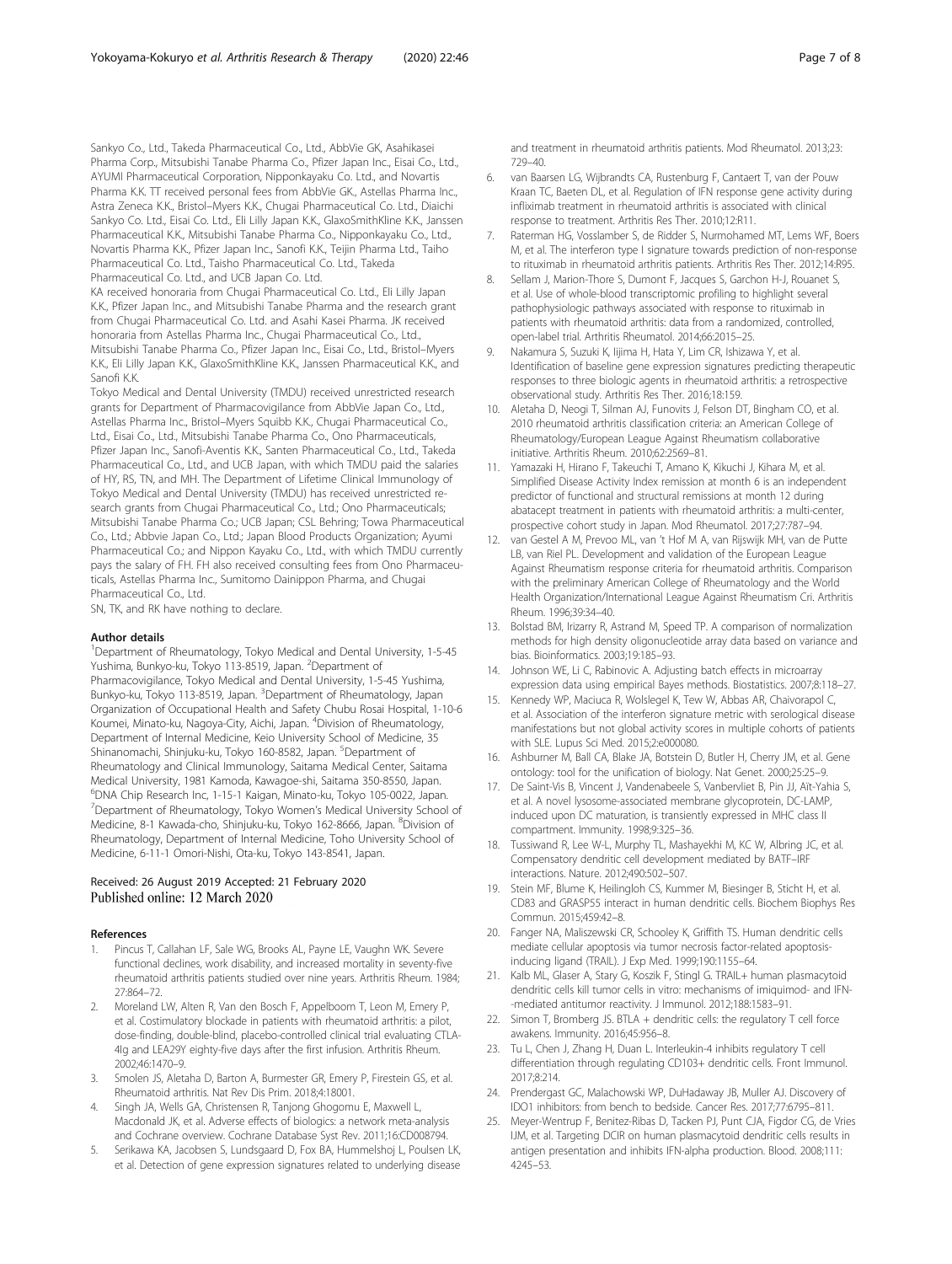<span id="page-6-0"></span>Sankyo Co., Ltd., Takeda Pharmaceutical Co., Ltd., AbbVie GK, Asahikasei Pharma Corp., Mitsubishi Tanabe Pharma Co., Pfizer Japan Inc., Eisai Co., Ltd., AYUMI Pharmaceutical Corporation, Nipponkayaku Co. Ltd., and Novartis Pharma K.K. TT received personal fees from AbbVie GK., Astellas Pharma Inc., Astra Zeneca K.K., Bristol–Myers K.K., Chugai Pharmaceutical Co. Ltd., Diaichi Sankyo Co. Ltd., Eisai Co. Ltd., Eli Lilly Japan K.K., GlaxoSmithKline K.K., Janssen Pharmaceutical K.K., Mitsubishi Tanabe Pharma Co., Nipponkayaku Co., Ltd., Novartis Pharma K.K., Pfizer Japan Inc., Sanofi K.K., Teijin Pharma Ltd., Taiho Pharmaceutical Co. Ltd., Taisho Pharmaceutical Co. Ltd., Takeda Pharmaceutical Co. Ltd., and UCB Japan Co. Ltd.

KA received honoraria from Chugai Pharmaceutical Co. Ltd., Eli Lilly Japan K.K., Pfizer Japan Inc., and Mitsubishi Tanabe Pharma and the research grant from Chugai Pharmaceutical Co. Ltd. and Asahi Kasei Pharma. JK received honoraria from Astellas Pharma Inc., Chugai Pharmaceutical Co., Ltd., Mitsubishi Tanabe Pharma Co., Pfizer Japan Inc., Eisai Co., Ltd., Bristol–Myers K.K., Eli Lilly Japan K.K., GlaxoSmithKline K.K., Janssen Pharmaceutical K.K., and Sanofi K.K.

Tokyo Medical and Dental University (TMDU) received unrestricted research grants for Department of Pharmacovigilance from AbbVie Japan Co., Ltd., Astellas Pharma Inc., Bristol–Myers Squibb K.K., Chugai Pharmaceutical Co., Ltd., Eisai Co., Ltd., Mitsubishi Tanabe Pharma Co., Ono Pharmaceuticals, Pfizer Japan Inc., Sanofi-Aventis K.K., Santen Pharmaceutical Co., Ltd., Takeda Pharmaceutical Co., Ltd., and UCB Japan, with which TMDU paid the salaries of HY, RS, TN, and MH. The Department of Lifetime Clinical Immunology of Tokyo Medical and Dental University (TMDU) has received unrestricted research grants from Chugai Pharmaceutical Co., Ltd.; Ono Pharmaceuticals; Mitsubishi Tanabe Pharma Co.; UCB Japan; CSL Behring; Towa Pharmaceutical Co., Ltd.; Abbvie Japan Co., Ltd.; Japan Blood Products Organization; Ayumi Pharmaceutical Co.; and Nippon Kayaku Co., Ltd., with which TMDU currently pays the salary of FH. FH also received consulting fees from Ono Pharmaceuticals, Astellas Pharma Inc., Sumitomo Dainippon Pharma, and Chugai Pharmaceutical Co., Ltd.

SN, TK, and RK have nothing to declare.

#### Author details

<sup>1</sup>Department of Rheumatology, Tokyo Medical and Dental University, 1-5-45 Yushima, Bunkyo-ku, Tokyo 113-8519, Japan. <sup>2</sup>Department of Pharmacovigilance, Tokyo Medical and Dental University, 1-5-45 Yushima, Bunkyo-ku, Tokyo 113-8519, Japan. <sup>3</sup>Department of Rheumatology, Japan Organization of Occupational Health and Safety Chubu Rosai Hospital, 1-10-6 Koumei, Minato-ku, Nagoya-City, Aichi, Japan. <sup>4</sup>Division of Rheumatology, Department of Internal Medicine, Keio University School of Medicine, 35 Shinanomachi, Shinjuku-ku, Tokyo 160-8582, Japan. <sup>5</sup>Department of Rheumatology and Clinical Immunology, Saitama Medical Center, Saitama Medical University, 1981 Kamoda, Kawagoe-shi, Saitama 350-8550, Japan. 6 DNA Chip Research Inc, 1-15-1 Kaigan, Minato-ku, Tokyo 105-0022, Japan. 7 Department of Rheumatology, Tokyo Women's Medical University School of Medicine, 8-1 Kawada-cho, Shinjuku-ku, Tokyo 162-8666, Japan. <sup>8</sup>Division of Rheumatology, Department of Internal Medicine, Toho University School of Medicine, 6-11-1 Omori-Nishi, Ota-ku, Tokyo 143-8541, Japan.

### Received: 26 August 2019 Accepted: 21 February 2020 Published online: 12 March 2020

#### References

- 1. Pincus T, Callahan LF, Sale WG, Brooks AL, Payne LE, Vaughn WK. Severe functional declines, work disability, and increased mortality in seventy-five rheumatoid arthritis patients studied over nine years. Arthritis Rheum. 1984; 27:864–72.
- 2. Moreland LW, Alten R, Van den Bosch F, Appelboom T, Leon M, Emery P, et al. Costimulatory blockade in patients with rheumatoid arthritis: a pilot, dose-finding, double-blind, placebo-controlled clinical trial evaluating CTLA-4Ig and LEA29Y eighty-five days after the first infusion. Arthritis Rheum. 2002;46:1470–9.
- 3. Smolen JS, Aletaha D, Barton A, Burmester GR, Emery P, Firestein GS, et al. Rheumatoid arthritis. Nat Rev Dis Prim. 2018;4:18001.
- 4. Singh JA, Wells GA, Christensen R, Tanjong Ghogomu E, Maxwell L, Macdonald JK, et al. Adverse effects of biologics: a network meta-analysis and Cochrane overview. Cochrane Database Syst Rev. 2011;16:CD008794.
- 5. Serikawa KA, Jacobsen S, Lundsgaard D, Fox BA, Hummelshoj L, Poulsen LK, et al. Detection of gene expression signatures related to underlying disease

and treatment in rheumatoid arthritis patients. Mod Rheumatol. 2013;23: 729–40.

- 6. van Baarsen LG, Wijbrandts CA, Rustenburg F, Cantaert T, van der Pouw Kraan TC, Baeten DL, et al. Regulation of IFN response gene activity during infliximab treatment in rheumatoid arthritis is associated with clinical response to treatment. Arthritis Res Ther. 2010;12:R11.
- 7. Raterman HG, Vosslamber S, de Ridder S, Nurmohamed MT, Lems WF, Boers M, et al. The interferon type I signature towards prediction of non-response to rituximab in rheumatoid arthritis patients. Arthritis Res Ther. 2012;14:R95.
- 8. Sellam J, Marion-Thore S, Dumont F, Jacques S, Garchon H-J, Rouanet S, et al. Use of whole-blood transcriptomic profiling to highlight several pathophysiologic pathways associated with response to rituximab in patients with rheumatoid arthritis: data from a randomized, controlled, open-label trial. Arthritis Rheumatol. 2014;66:2015–25.
- 9. Nakamura S, Suzuki K, Iijima H, Hata Y, Lim CR, Ishizawa Y, et al. Identification of baseline gene expression signatures predicting therapeutic responses to three biologic agents in rheumatoid arthritis: a retrospective observational study. Arthritis Res Ther. 2016;18:159.
- 10. Aletaha D, Neogi T, Silman AJ, Funovits J, Felson DT, Bingham CO, et al. 2010 rheumatoid arthritis classification criteria: an American College of Rheumatology/European League Against Rheumatism collaborative initiative. Arthritis Rheum. 2010;62:2569–81.
- 11. Yamazaki H, Hirano F, Takeuchi T, Amano K, Kikuchi J, Kihara M, et al. Simplified Disease Activity Index remission at month 6 is an independent predictor of functional and structural remissions at month 12 during abatacept treatment in patients with rheumatoid arthritis: a multi-center, prospective cohort study in Japan. Mod Rheumatol. 2017;27:787–94.
- 12. van Gestel A M, Prevoo ML, van 't Hof M A, van Rijswijk MH, van de Putte LB, van Riel PL. Development and validation of the European League Against Rheumatism response criteria for rheumatoid arthritis. Comparison with the preliminary American College of Rheumatology and the World Health Organization/International League Against Rheumatism Cri. Arthritis Rheum. 1996;39:34–40.
- 13. Bolstad BM, Irizarry R, Astrand M, Speed TP. A comparison of normalization methods for high density oligonucleotide array data based on variance and bias. Bioinformatics. 2003;19:185–93.
- 14. Johnson WE, Li C, Rabinovic A. Adjusting batch effects in microarray expression data using empirical Bayes methods. Biostatistics. 2007;8:118–27.
- 15. Kennedy WP, Maciuca R, Wolslegel K, Tew W, Abbas AR, Chaivorapol C, et al. Association of the interferon signature metric with serological disease manifestations but not global activity scores in multiple cohorts of patients with SLE. Lupus Sci Med. 2015;2:e000080.
- 16. Ashburner M, Ball CA, Blake JA, Botstein D, Butler H, Cherry JM, et al. Gene ontology: tool for the unification of biology. Nat Genet. 2000;25:25–9.
- 17. De Saint-Vis B, Vincent J, Vandenabeele S, Vanbervliet B, Pin JJ, Aït-Yahia S, et al. A novel lysosome-associated membrane glycoprotein, DC-LAMP, induced upon DC maturation, is transiently expressed in MHC class II compartment. Immunity. 1998;9:325–36.
- 18. Tussiwand R, Lee W-L, Murphy TL, Mashayekhi M, KC W, Albring JC, et al. Compensatory dendritic cell development mediated by BATF–IRF interactions. Nature. 2012;490:502–507.
- 19. Stein MF, Blume K, Heilingloh CS, Kummer M, Biesinger B, Sticht H, et al. CD83 and GRASP55 interact in human dendritic cells. Biochem Biophys Res Commun. 2015;459:42–8.
- 20. Fanger NA, Maliszewski CR, Schooley K, Griffith TS. Human dendritic cells mediate cellular apoptosis via tumor necrosis factor-related apoptosisinducing ligand (TRAIL). J Exp Med. 1999;190:1155–64.
- 21. Kalb ML, Glaser A, Stary G, Koszik F, Stingl G. TRAIL+ human plasmacytoid dendritic cells kill tumor cells in vitro: mechanisms of imiquimod- and IFN- -mediated antitumor reactivity. J Immunol. 2012;188:1583–91.
- 22. Simon T, Bromberg JS. BTLA + dendritic cells: the regulatory T cell force awakens. Immunity. 2016;45:956–8.
- 23. Tu L, Chen J, Zhang H, Duan L. Interleukin-4 inhibits regulatory T cell differentiation through regulating CD103+ dendritic cells. Front Immunol. 2017;8:214.
- 24. Prendergast GC, Malachowski WP, DuHadaway JB, Muller AJ. Discovery of IDO1 inhibitors: from bench to bedside. Cancer Res. 2017;77:6795–811.
- 25. Meyer-Wentrup F, Benitez-Ribas D, Tacken PJ, Punt CJA, Figdor CG, de Vries IJM, et al. Targeting DCIR on human plasmacytoid dendritic cells results in antigen presentation and inhibits IFN-alpha production. Blood. 2008;111: 4245–53.